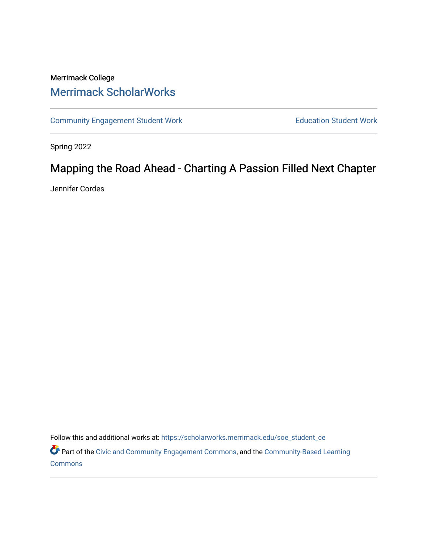# Merrimack College [Merrimack ScholarWorks](https://scholarworks.merrimack.edu/)

[Community Engagement Student Work](https://scholarworks.merrimack.edu/soe_student_ce) **Education Student Work** Education Student Work

Spring 2022

# Mapping the Road Ahead - Charting A Passion Filled Next Chapter

Jennifer Cordes

Follow this and additional works at: [https://scholarworks.merrimack.edu/soe\\_student\\_ce](https://scholarworks.merrimack.edu/soe_student_ce?utm_source=scholarworks.merrimack.edu%2Fsoe_student_ce%2F72&utm_medium=PDF&utm_campaign=PDFCoverPages) 

Part of the [Civic and Community Engagement Commons](http://network.bepress.com/hgg/discipline/1028?utm_source=scholarworks.merrimack.edu%2Fsoe_student_ce%2F72&utm_medium=PDF&utm_campaign=PDFCoverPages), and the [Community-Based Learning](http://network.bepress.com/hgg/discipline/1046?utm_source=scholarworks.merrimack.edu%2Fsoe_student_ce%2F72&utm_medium=PDF&utm_campaign=PDFCoverPages) **[Commons](http://network.bepress.com/hgg/discipline/1046?utm_source=scholarworks.merrimack.edu%2Fsoe_student_ce%2F72&utm_medium=PDF&utm_campaign=PDFCoverPages)**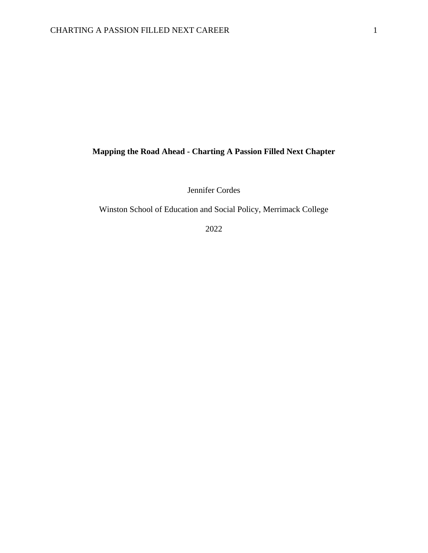## **Mapping the Road Ahead - Charting A Passion Filled Next Chapter**

Jennifer Cordes

Winston School of Education and Social Policy, Merrimack College

2022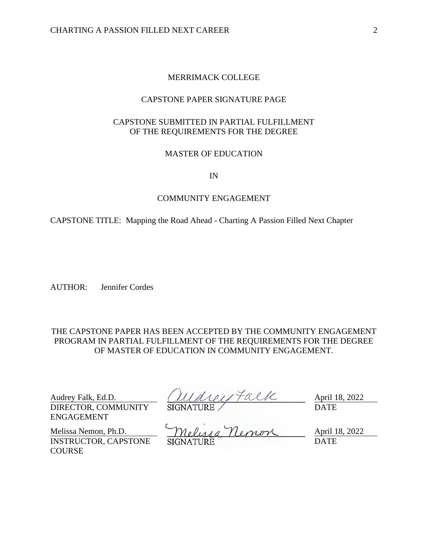## MERRIMACK COLLEGE

## CAPSTONE PAPER SIGNATURE PAGE

## CAPSTONE SUBMITTED IN PARTIAL FULFILLMENT OF THE REQUIREMENTS FOR THE DEGREE

## MASTER OF EDUCATION

#### IN

#### COMMUNITY ENGAGEMENT

CAPSTONE TITLE: Mapping the Road Ahead - Charting A Passion Filled Next Chapter

AUTHOR: Jennifer Cordes

THE CAPSTONE PAPER HAS BEEN ACCEPTED BY THE COMMUNITY ENGAGEMENT PROGRAM IN PARTIAL FULFILLMENT OF THE REQUIREMENTS FOR THE DEGREE OF MASTER OF EDUCATION IN COMMUNITY ENGAGEMENT.

DIRECTOR, COMMUNITY ENGAGEMENT

Audrey Falk, Ed.D.  $(111d)$   $121f$   $13, 2022$ SIGNATURE / DATE

INSTRUCTOR, CAPSTONE **COURSE** 

Melissa Nemon, Ph.D.  $Mel_{\mathcal{U}\mathcal{U}}$   $Mel_{\mathcal{U}}$   $Mel_{\mathcal{U}}$   $M$   $M$ SIGNATURE DATE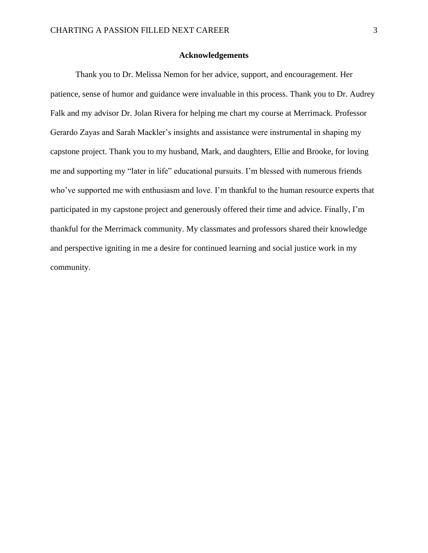#### **Acknowledgements**

<span id="page-3-0"></span>Thank you to Dr. Melissa Nemon for her advice, support, and encouragement. Her patience, sense of humor and guidance were invaluable in this process. Thank you to Dr. Audrey Falk and my advisor Dr. Jolan Rivera for helping me chart my course at Merrimack. Professor Gerardo Zayas and Sarah Mackler's insights and assistance were instrumental in shaping my capstone project. Thank you to my husband, Mark, and daughters, Ellie and Brooke, for loving me and supporting my "later in life" educational pursuits. I'm blessed with numerous friends who've supported me with enthusiasm and love. I'm thankful to the human resource experts that participated in my capstone project and generously offered their time and advice. Finally, I'm thankful for the Merrimack community. My classmates and professors shared their knowledge and perspective igniting in me a desire for continued learning and social justice work in my community.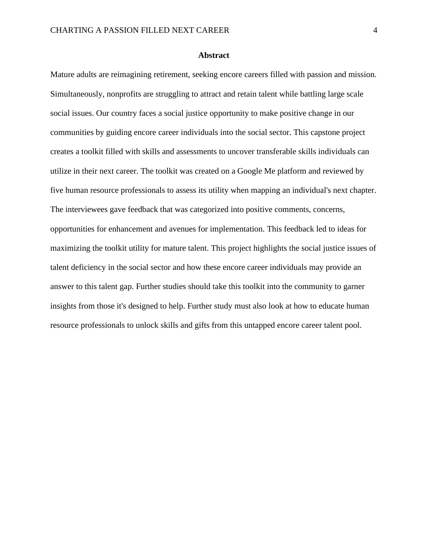#### **Abstract**

<span id="page-4-0"></span>Mature adults are reimagining retirement, seeking encore careers filled with passion and mission. Simultaneously, nonprofits are struggling to attract and retain talent while battling large scale social issues. Our country faces a social justice opportunity to make positive change in our communities by guiding encore career individuals into the social sector. This capstone project creates a toolkit filled with skills and assessments to uncover transferable skills individuals can utilize in their next career. The toolkit was created on a Google Me platform and reviewed by five human resource professionals to assess its utility when mapping an individual's next chapter. The interviewees gave feedback that was categorized into positive comments, concerns, opportunities for enhancement and avenues for implementation. This feedback led to ideas for maximizing the toolkit utility for mature talent. This project highlights the social justice issues of talent deficiency in the social sector and how these encore career individuals may provide an answer to this talent gap. Further studies should take this toolkit into the community to garner insights from those it's designed to help. Further study must also look at how to educate human resource professionals to unlock skills and gifts from this untapped encore career talent pool.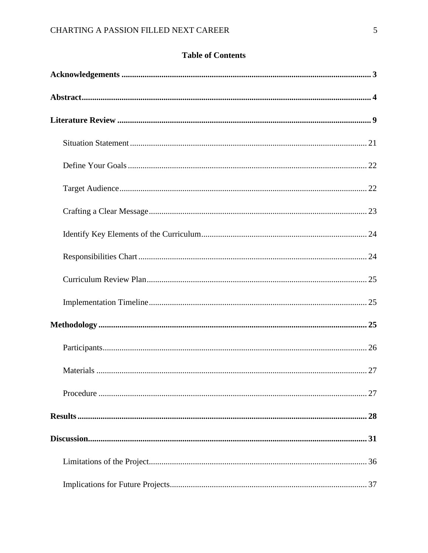## **Table of Contents**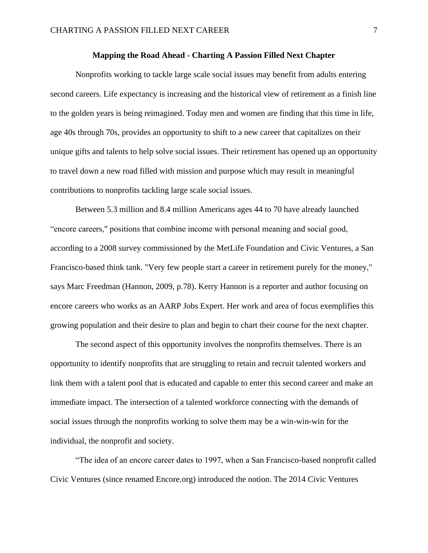### **Mapping the Road Ahead - Charting A Passion Filled Next Chapter**

Nonprofits working to tackle large scale social issues may benefit from adults entering second careers. Life expectancy is increasing and the historical view of retirement as a finish line to the golden years is being reimagined. Today men and women are finding that this time in life, age 40s through 70s, provides an opportunity to shift to a new career that capitalizes on their unique gifts and talents to help solve social issues. Their retirement has opened up an opportunity to travel down a new road filled with mission and purpose which may result in meaningful contributions to nonprofits tackling large scale social issues.

Between 5.3 million and 8.4 million Americans ages 44 to 70 have already launched "encore careers," positions that combine income with personal meaning and social good, according to a 2008 survey commissioned by the MetLife Foundation and Civic Ventures, a San Francisco-based think tank. "Very few people start a career in retirement purely for the money," says Marc Freedman (Hannon, 2009, p.78). Kerry Hannon is a reporter and author focusing on encore careers who works as an AARP Jobs Expert. Her work and area of focus exemplifies this growing population and their desire to plan and begin to chart their course for the next chapter.

The second aspect of this opportunity involves the nonprofits themselves. There is an opportunity to identify nonprofits that are struggling to retain and recruit talented workers and link them with a talent pool that is educated and capable to enter this second career and make an immediate impact. The intersection of a talented workforce connecting with the demands of social issues through the nonprofits working to solve them may be a win-win-win for the individual, the nonprofit and society.

"The idea of an encore career dates to 1997, when a San Francisco-based nonprofit called Civic Ventures (since renamed Encore.org) introduced the notion. The 2014 Civic Ventures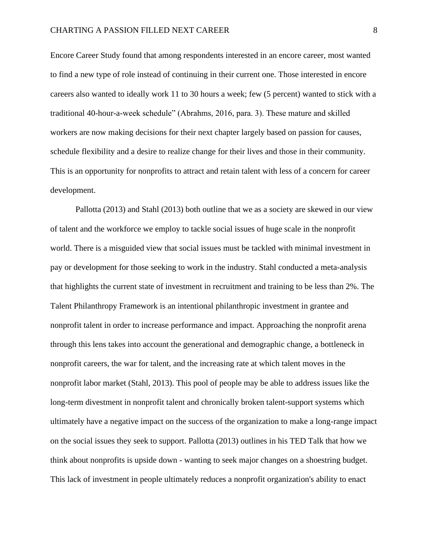Encore Career Study found that among respondents interested in an encore career, most wanted to find a new type of role instead of continuing in their current one. Those interested in encore careers also wanted to ideally work 11 to 30 hours a week; few (5 percent) wanted to stick with a traditional 40-hour-a-week schedule" (Abrahms, 2016, para. 3). These mature and skilled workers are now making decisions for their next chapter largely based on passion for causes, schedule flexibility and a desire to realize change for their lives and those in their community. This is an opportunity for nonprofits to attract and retain talent with less of a concern for career development.

Pallotta (2013) and Stahl (2013) both outline that we as a society are skewed in our view of talent and the workforce we employ to tackle social issues of huge scale in the nonprofit world. There is a misguided view that social issues must be tackled with minimal investment in pay or development for those seeking to work in the industry. Stahl conducted a meta-analysis that highlights the current state of investment in recruitment and training to be less than 2%. The Talent Philanthropy Framework is an intentional philanthropic investment in grantee and nonprofit talent in order to increase performance and impact. Approaching the nonprofit arena through this lens takes into account the generational and demographic change, a bottleneck in nonprofit careers, the war for talent, and the increasing rate at which talent moves in the nonprofit labor market (Stahl, 2013). This pool of people may be able to address issues like the long-term divestment in nonprofit talent and chronically broken talent-support systems which ultimately have a negative impact on the success of the organization to make a long-range impact on the social issues they seek to support. Pallotta (2013) outlines in his TED Talk that how we think about nonprofits is upside down - wanting to seek major changes on a shoestring budget. This lack of investment in people ultimately reduces a nonprofit organization's ability to enact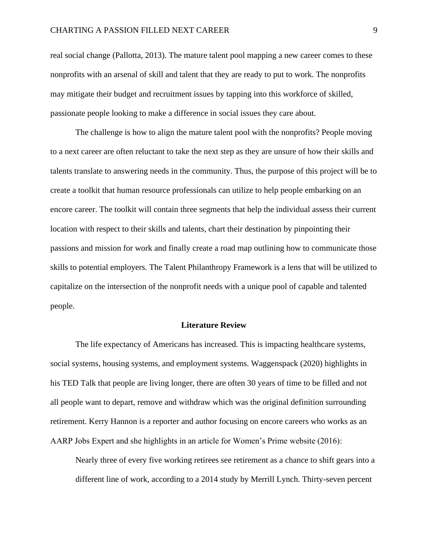### CHARTING A PASSION FILLED NEXT CAREER 9

real social change (Pallotta, 2013). The mature talent pool mapping a new career comes to these nonprofits with an arsenal of skill and talent that they are ready to put to work. The nonprofits may mitigate their budget and recruitment issues by tapping into this workforce of skilled, passionate people looking to make a difference in social issues they care about.

The challenge is how to align the mature talent pool with the nonprofits? People moving to a next career are often reluctant to take the next step as they are unsure of how their skills and talents translate to answering needs in the community. Thus, the purpose of this project will be to create a toolkit that human resource professionals can utilize to help people embarking on an encore career. The toolkit will contain three segments that help the individual assess their current location with respect to their skills and talents, chart their destination by pinpointing their passions and mission for work and finally create a road map outlining how to communicate those skills to potential employers. The Talent Philanthropy Framework is a lens that will be utilized to capitalize on the intersection of the nonprofit needs with a unique pool of capable and talented people.

#### **Literature Review**

<span id="page-9-0"></span>The life expectancy of Americans has increased. This is impacting healthcare systems, social systems, housing systems, and employment systems. Waggenspack (2020) highlights in his TED Talk that people are living longer, there are often 30 years of time to be filled and not all people want to depart, remove and withdraw which was the original definition surrounding retirement. Kerry Hannon is a reporter and author focusing on encore careers who works as an AARP Jobs Expert and she highlights in an article for Women's Prime website (2016):

Nearly three of every five working retirees see retirement as a chance to shift gears into a different line of work, according to a 2014 study by Merrill Lynch. Thirty-seven percent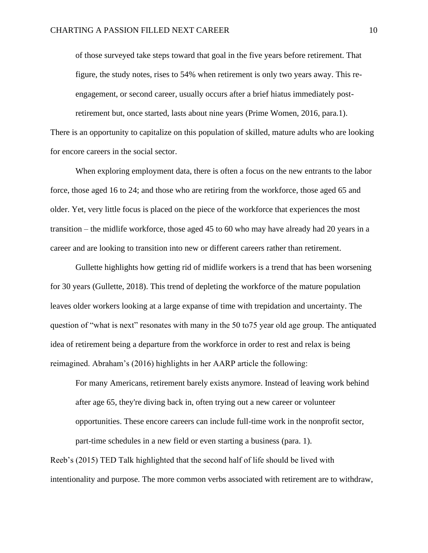of those surveyed take steps toward that goal in the five years before retirement. That figure, the study notes, rises to 54% when retirement is only two years away. This reengagement, or second career, usually occurs after a brief hiatus immediately postretirement but, once started, lasts about nine years (Prime Women, 2016, para.1).

There is an opportunity to capitalize on this population of skilled, mature adults who are looking for encore careers in the social sector.

When exploring employment data, there is often a focus on the new entrants to the labor force, those aged 16 to 24; and those who are retiring from the workforce, those aged 65 and older. Yet, very little focus is placed on the piece of the workforce that experiences the most transition – the midlife workforce, those aged 45 to 60 who may have already had 20 years in a career and are looking to transition into new or different careers rather than retirement.

Gullette highlights how getting rid of midlife workers is a trend that has been worsening for 30 years (Gullette, 2018). This trend of depleting the workforce of the mature population leaves older workers looking at a large expanse of time with trepidation and uncertainty. The question of "what is next" resonates with many in the 50 to75 year old age group. The antiquated idea of retirement being a departure from the workforce in order to rest and relax is being reimagined. Abraham's (2016) highlights in her AARP article the following:

For many Americans, retirement barely exists anymore. Instead of leaving work behind after age 65, they're diving back in, often trying out a new career or volunteer opportunities. These encore careers can include full-time work in the nonprofit sector, part-time schedules in a new field or even starting a business (para. 1).

Reeb's (2015) TED Talk highlighted that the second half of life should be lived with intentionality and purpose. The more common verbs associated with retirement are to withdraw,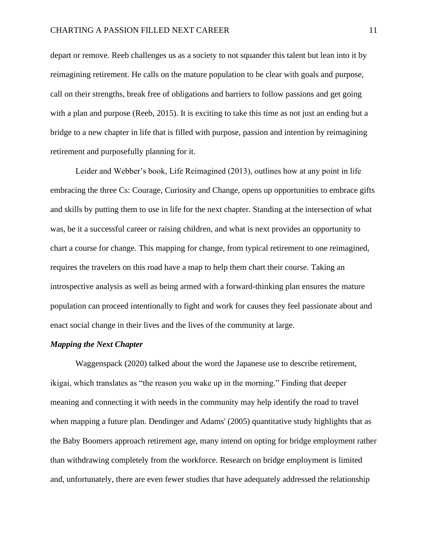depart or remove. Reeb challenges us as a society to not squander this talent but lean into it by reimagining retirement. He calls on the mature population to be clear with goals and purpose, call on their strengths, break free of obligations and barriers to follow passions and get going with a plan and purpose (Reeb, 2015). It is exciting to take this time as not just an ending but a bridge to a new chapter in life that is filled with purpose, passion and intention by reimagining retirement and purposefully planning for it.

Leider and Webber's book, Life Reimagined (2013), outlines how at any point in life embracing the three Cs: Courage, Curiosity and Change, opens up opportunities to embrace gifts and skills by putting them to use in life for the next chapter. Standing at the intersection of what was, be it a successful career or raising children, and what is next provides an opportunity to chart a course for change. This mapping for change, from typical retirement to one reimagined, requires the travelers on this road have a map to help them chart their course. Taking an introspective analysis as well as being armed with a forward-thinking plan ensures the mature population can proceed intentionally to fight and work for causes they feel passionate about and enact social change in their lives and the lives of the community at large.

#### *Mapping the Next Chapter*

Waggenspack (2020) talked about the word the Japanese use to describe retirement, ikigai, which translates as "the reason you wake up in the morning." Finding that deeper meaning and connecting it with needs in the community may help identify the road to travel when mapping a future plan. Dendinger and Adams' (2005) quantitative study highlights that as the Baby Boomers approach retirement age, many intend on opting for bridge employment rather than withdrawing completely from the workforce. Research on bridge employment is limited and, unfortunately, there are even fewer studies that have adequately addressed the relationship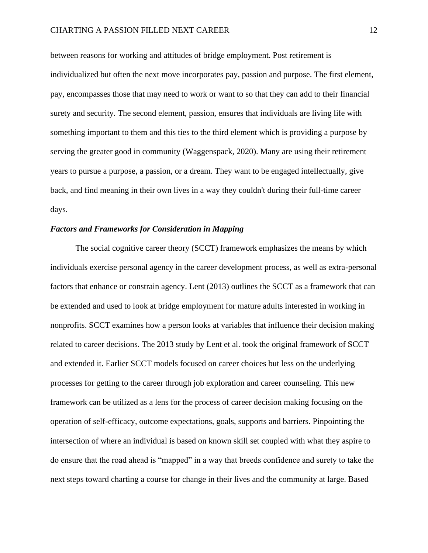between reasons for working and attitudes of bridge employment. Post retirement is individualized but often the next move incorporates pay, passion and purpose. The first element, pay, encompasses those that may need to work or want to so that they can add to their financial surety and security. The second element, passion, ensures that individuals are living life with something important to them and this ties to the third element which is providing a purpose by serving the greater good in community (Waggenspack, 2020). Many are using their retirement years to pursue a purpose, a passion, or a dream. They want to be engaged intellectually, give back, and find meaning in their own lives in a way they couldn't during their full-time career days.

## *Factors and Frameworks for Consideration in Mapping*

The social cognitive career theory (SCCT) framework emphasizes the means by which individuals exercise personal agency in the career development process, as well as extra-personal factors that enhance or constrain agency. Lent (2013) outlines the SCCT as a framework that can be extended and used to look at bridge employment for mature adults interested in working in nonprofits. SCCT examines how a person looks at variables that influence their decision making related to career decisions. The 2013 study by Lent et al. took the original framework of SCCT and extended it. Earlier SCCT models focused on career choices but less on the underlying processes for getting to the career through job exploration and career counseling. This new framework can be utilized as a lens for the process of career decision making focusing on the operation of self-efficacy, outcome expectations, goals, supports and barriers. Pinpointing the intersection of where an individual is based on known skill set coupled with what they aspire to do ensure that the road ahead is "mapped" in a way that breeds confidence and surety to take the next steps toward charting a course for change in their lives and the community at large. Based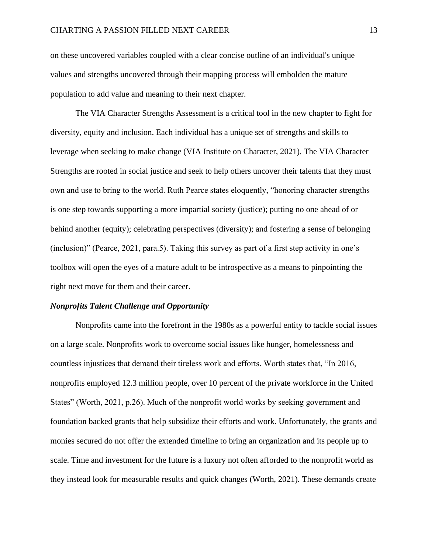on these uncovered variables coupled with a clear concise outline of an individual's unique values and strengths uncovered through their mapping process will embolden the mature population to add value and meaning to their next chapter.

The VIA Character Strengths Assessment is a critical tool in the new chapter to fight for diversity, equity and inclusion. Each individual has a unique set of strengths and skills to leverage when seeking to make change (VIA Institute on Character, 2021). The VIA Character Strengths are rooted in social justice and seek to help others uncover their talents that they must own and use to bring to the world. Ruth Pearce states eloquently, "honoring character strengths is one step towards supporting a more impartial society (justice); putting no one ahead of or behind another (equity); celebrating perspectives (diversity); and fostering a sense of belonging (inclusion)" (Pearce, 2021, para.5). Taking this survey as part of a first step activity in one's toolbox will open the eyes of a mature adult to be introspective as a means to pinpointing the right next move for them and their career.

#### *Nonprofits Talent Challenge and Opportunity*

Nonprofits came into the forefront in the 1980s as a powerful entity to tackle social issues on a large scale. Nonprofits work to overcome social issues like hunger, homelessness and countless injustices that demand their tireless work and efforts. Worth states that, "In 2016, nonprofits employed 12.3 million people, over 10 percent of the private workforce in the United States" (Worth, 2021, p.26). Much of the nonprofit world works by seeking government and foundation backed grants that help subsidize their efforts and work. Unfortunately, the grants and monies secured do not offer the extended timeline to bring an organization and its people up to scale. Time and investment for the future is a luxury not often afforded to the nonprofit world as they instead look for measurable results and quick changes (Worth, 2021). These demands create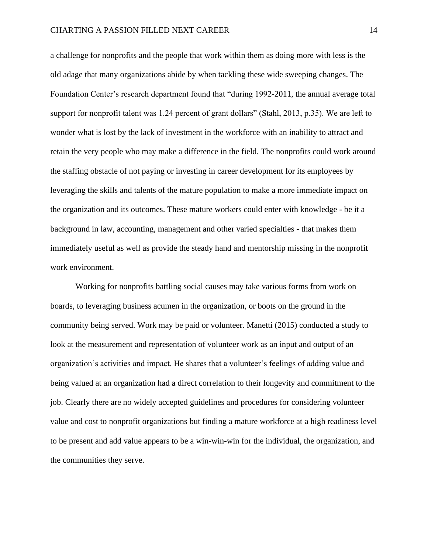a challenge for nonprofits and the people that work within them as doing more with less is the old adage that many organizations abide by when tackling these wide sweeping changes. The Foundation Center's research department found that "during 1992-2011, the annual average total support for nonprofit talent was 1.24 percent of grant dollars" (Stahl, 2013, p.35). We are left to wonder what is lost by the lack of investment in the workforce with an inability to attract and retain the very people who may make a difference in the field. The nonprofits could work around the staffing obstacle of not paying or investing in career development for its employees by leveraging the skills and talents of the mature population to make a more immediate impact on the organization and its outcomes. These mature workers could enter with knowledge - be it a background in law, accounting, management and other varied specialties - that makes them immediately useful as well as provide the steady hand and mentorship missing in the nonprofit work environment.

Working for nonprofits battling social causes may take various forms from work on boards, to leveraging business acumen in the organization, or boots on the ground in the community being served. Work may be paid or volunteer. Manetti (2015) conducted a study to look at the measurement and representation of volunteer work as an input and output of an organization's activities and impact. He shares that a volunteer's feelings of adding value and being valued at an organization had a direct correlation to their longevity and commitment to the job. Clearly there are no widely accepted guidelines and procedures for considering volunteer value and cost to nonprofit organizations but finding a mature workforce at a high readiness level to be present and add value appears to be a win-win-win for the individual, the organization, and the communities they serve.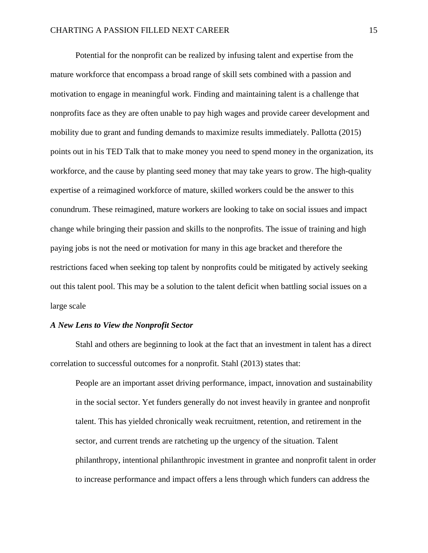Potential for the nonprofit can be realized by infusing talent and expertise from the mature workforce that encompass a broad range of skill sets combined with a passion and motivation to engage in meaningful work. Finding and maintaining talent is a challenge that nonprofits face as they are often unable to pay high wages and provide career development and mobility due to grant and funding demands to maximize results immediately. Pallotta (2015) points out in his TED Talk that to make money you need to spend money in the organization, its workforce, and the cause by planting seed money that may take years to grow. The high-quality expertise of a reimagined workforce of mature, skilled workers could be the answer to this conundrum. These reimagined, mature workers are looking to take on social issues and impact change while bringing their passion and skills to the nonprofits. The issue of training and high paying jobs is not the need or motivation for many in this age bracket and therefore the restrictions faced when seeking top talent by nonprofits could be mitigated by actively seeking out this talent pool. This may be a solution to the talent deficit when battling social issues on a large scale

#### *A New Lens to View the Nonprofit Sector*

Stahl and others are beginning to look at the fact that an investment in talent has a direct correlation to successful outcomes for a nonprofit. Stahl (2013) states that:

People are an important asset driving performance, impact, innovation and sustainability in the social sector. Yet funders generally do not invest heavily in grantee and nonprofit talent. This has yielded chronically weak recruitment, retention, and retirement in the sector, and current trends are ratcheting up the urgency of the situation. Talent philanthropy, intentional philanthropic investment in grantee and nonprofit talent in order to increase performance and impact offers a lens through which funders can address the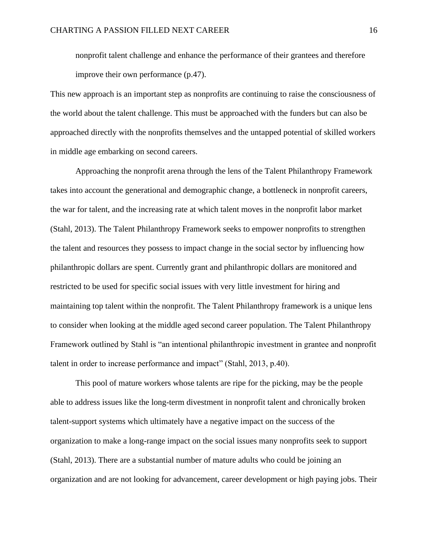nonprofit talent challenge and enhance the performance of their grantees and therefore improve their own performance (p.47).

This new approach is an important step as nonprofits are continuing to raise the consciousness of the world about the talent challenge. This must be approached with the funders but can also be approached directly with the nonprofits themselves and the untapped potential of skilled workers in middle age embarking on second careers.

Approaching the nonprofit arena through the lens of the Talent Philanthropy Framework takes into account the generational and demographic change, a bottleneck in nonprofit careers, the war for talent, and the increasing rate at which talent moves in the nonprofit labor market (Stahl, 2013). The Talent Philanthropy Framework seeks to empower nonprofits to strengthen the talent and resources they possess to impact change in the social sector by influencing how philanthropic dollars are spent. Currently grant and philanthropic dollars are monitored and restricted to be used for specific social issues with very little investment for hiring and maintaining top talent within the nonprofit. The Talent Philanthropy framework is a unique lens to consider when looking at the middle aged second career population. The Talent Philanthropy Framework outlined by Stahl is "an intentional philanthropic investment in grantee and nonprofit talent in order to increase performance and impact" (Stahl, 2013, p.40).

This pool of mature workers whose talents are ripe for the picking, may be the people able to address issues like the long-term divestment in nonprofit talent and chronically broken talent-support systems which ultimately have a negative impact on the success of the organization to make a long-range impact on the social issues many nonprofits seek to support (Stahl, 2013). There are a substantial number of mature adults who could be joining an organization and are not looking for advancement, career development or high paying jobs. Their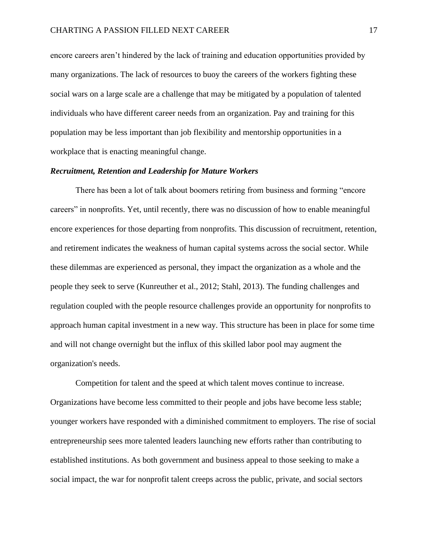encore careers aren't hindered by the lack of training and education opportunities provided by many organizations. The lack of resources to buoy the careers of the workers fighting these social wars on a large scale are a challenge that may be mitigated by a population of talented individuals who have different career needs from an organization. Pay and training for this population may be less important than job flexibility and mentorship opportunities in a workplace that is enacting meaningful change.

#### *Recruitment, Retention and Leadership for Mature Workers*

There has been a lot of talk about boomers retiring from business and forming "encore careers" in nonprofits. Yet, until recently, there was no discussion of how to enable meaningful encore experiences for those departing from nonprofits. This discussion of recruitment, retention, and retirement indicates the weakness of human capital systems across the social sector. While these dilemmas are experienced as personal, they impact the organization as a whole and the people they seek to serve (Kunreuther et al., 2012; Stahl, 2013). The funding challenges and regulation coupled with the people resource challenges provide an opportunity for nonprofits to approach human capital investment in a new way. This structure has been in place for some time and will not change overnight but the influx of this skilled labor pool may augment the organization's needs.

Competition for talent and the speed at which talent moves continue to increase. Organizations have become less committed to their people and jobs have become less stable; younger workers have responded with a diminished commitment to employers. The rise of social entrepreneurship sees more talented leaders launching new efforts rather than contributing to established institutions. As both government and business appeal to those seeking to make a social impact, the war for nonprofit talent creeps across the public, private, and social sectors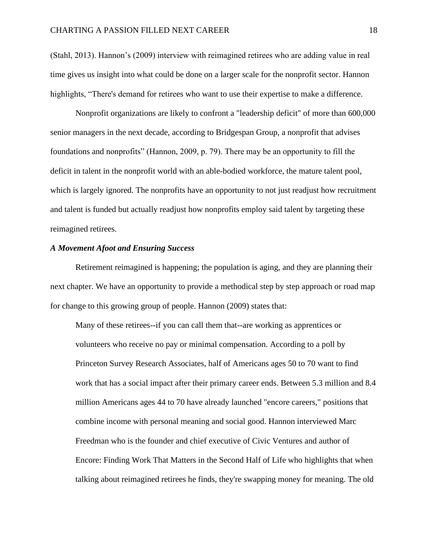(Stahl, 2013). Hannon's (2009) interview with reimagined retirees who are adding value in real time gives us insight into what could be done on a larger scale for the nonprofit sector. Hannon highlights, "There's demand for retirees who want to use their expertise to make a difference.

Nonprofit organizations are likely to confront a "leadership deficit" of more than 600,000 senior managers in the next decade, according to Bridgespan Group, a nonprofit that advises foundations and nonprofits" (Hannon, 2009, p. 79). There may be an opportunity to fill the deficit in talent in the nonprofit world with an able-bodied workforce, the mature talent pool, which is largely ignored. The nonprofits have an opportunity to not just readjust how recruitment and talent is funded but actually readjust how nonprofits employ said talent by targeting these reimagined retirees.

## *A Movement Afoot and Ensuring Success*

Retirement reimagined is happening; the population is aging, and they are planning their next chapter. We have an opportunity to provide a methodical step by step approach or road map for change to this growing group of people. Hannon (2009) states that:

Many of these retirees--if you can call them that--are working as apprentices or volunteers who receive no pay or minimal compensation. According to a poll by Princeton Survey Research Associates, half of Americans ages 50 to 70 want to find work that has a social impact after their primary career ends. Between 5.3 million and 8.4 million Americans ages 44 to 70 have already launched "encore careers," positions that combine income with personal meaning and social good. Hannon interviewed Marc Freedman who is the founder and chief executive of Civic Ventures and author of Encore: Finding Work That Matters in the Second Half of Life who highlights that when talking about reimagined retirees he finds, they're swapping money for meaning. The old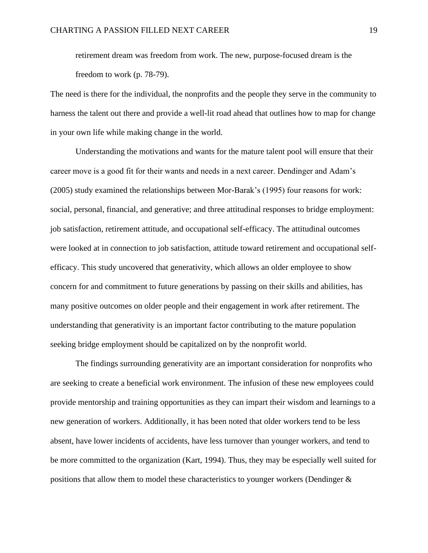retirement dream was freedom from work. The new, purpose-focused dream is the freedom to work (p. 78-79).

The need is there for the individual, the nonprofits and the people they serve in the community to harness the talent out there and provide a well-lit road ahead that outlines how to map for change in your own life while making change in the world.

Understanding the motivations and wants for the mature talent pool will ensure that their career move is a good fit for their wants and needs in a next career. Dendinger and Adam's (2005) study examined the relationships between Mor-Barak's (1995) four reasons for work: social, personal, financial, and generative; and three attitudinal responses to bridge employment: job satisfaction, retirement attitude, and occupational self-efficacy. The attitudinal outcomes were looked at in connection to job satisfaction, attitude toward retirement and occupational selfefficacy. This study uncovered that generativity, which allows an older employee to show concern for and commitment to future generations by passing on their skills and abilities, has many positive outcomes on older people and their engagement in work after retirement. The understanding that generativity is an important factor contributing to the mature population seeking bridge employment should be capitalized on by the nonprofit world.

The findings surrounding generativity are an important consideration for nonprofits who are seeking to create a beneficial work environment. The infusion of these new employees could provide mentorship and training opportunities as they can impart their wisdom and learnings to a new generation of workers. Additionally, it has been noted that older workers tend to be less absent, have lower incidents of accidents, have less turnover than younger workers, and tend to be more committed to the organization (Kart, 1994). Thus, they may be especially well suited for positions that allow them to model these characteristics to younger workers (Dendinger &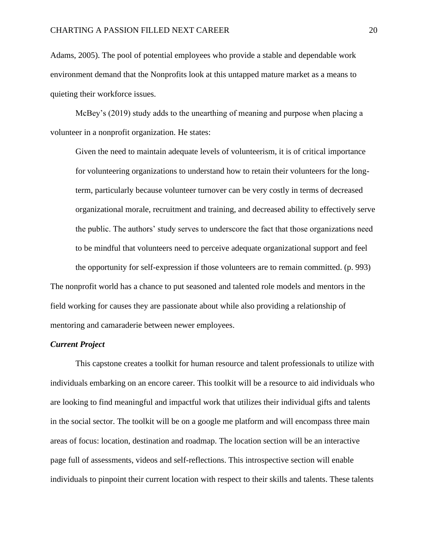Adams, 2005). The pool of potential employees who provide a stable and dependable work environment demand that the Nonprofits look at this untapped mature market as a means to quieting their workforce issues.

McBey's (2019) study adds to the unearthing of meaning and purpose when placing a volunteer in a nonprofit organization. He states:

Given the need to maintain adequate levels of volunteerism, it is of critical importance for volunteering organizations to understand how to retain their volunteers for the longterm, particularly because volunteer turnover can be very costly in terms of decreased organizational morale, recruitment and training, and decreased ability to effectively serve the public. The authors' study serves to underscore the fact that those organizations need to be mindful that volunteers need to perceive adequate organizational support and feel the opportunity for self-expression if those volunteers are to remain committed. (p. 993) The nonprofit world has a chance to put seasoned and talented role models and mentors in the field working for causes they are passionate about while also providing a relationship of

mentoring and camaraderie between newer employees.

## *Current Project*

This capstone creates a toolkit for human resource and talent professionals to utilize with individuals embarking on an encore career. This toolkit will be a resource to aid individuals who are looking to find meaningful and impactful work that utilizes their individual gifts and talents in the social sector. The toolkit will be on a google me platform and will encompass three main areas of focus: location, destination and roadmap. The location section will be an interactive page full of assessments, videos and self-reflections. This introspective section will enable individuals to pinpoint their current location with respect to their skills and talents. These talents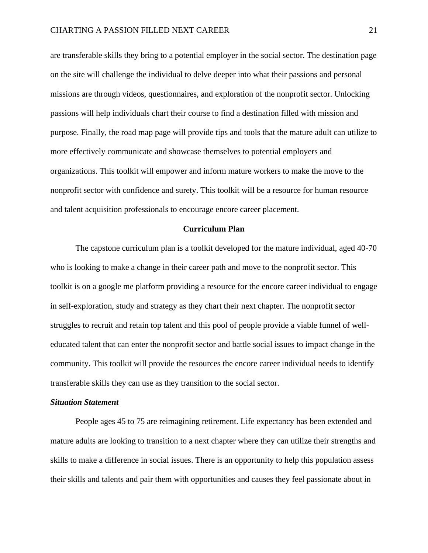are transferable skills they bring to a potential employer in the social sector. The destination page on the site will challenge the individual to delve deeper into what their passions and personal missions are through videos, questionnaires, and exploration of the nonprofit sector. Unlocking passions will help individuals chart their course to find a destination filled with mission and purpose. Finally, the road map page will provide tips and tools that the mature adult can utilize to more effectively communicate and showcase themselves to potential employers and organizations. This toolkit will empower and inform mature workers to make the move to the nonprofit sector with confidence and surety. This toolkit will be a resource for human resource and talent acquisition professionals to encourage encore career placement.

#### **Curriculum Plan**

The capstone curriculum plan is a toolkit developed for the mature individual, aged 40-70 who is looking to make a change in their career path and move to the nonprofit sector. This toolkit is on a google me platform providing a resource for the encore career individual to engage in self-exploration, study and strategy as they chart their next chapter. The nonprofit sector struggles to recruit and retain top talent and this pool of people provide a viable funnel of welleducated talent that can enter the nonprofit sector and battle social issues to impact change in the community. This toolkit will provide the resources the encore career individual needs to identify transferable skills they can use as they transition to the social sector.

#### <span id="page-21-0"></span>*Situation Statement*

People ages 45 to 75 are reimagining retirement. Life expectancy has been extended and mature adults are looking to transition to a next chapter where they can utilize their strengths and skills to make a difference in social issues. There is an opportunity to help this population assess their skills and talents and pair them with opportunities and causes they feel passionate about in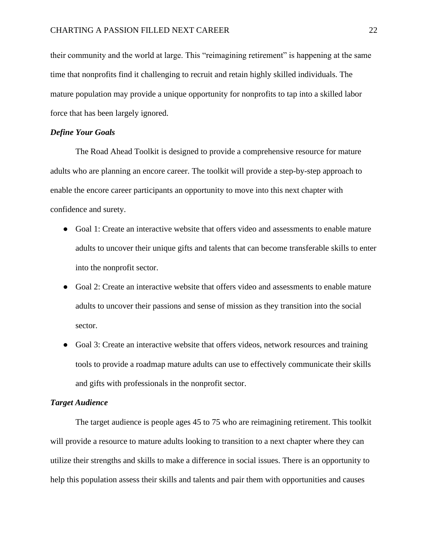their community and the world at large. This "reimagining retirement" is happening at the same time that nonprofits find it challenging to recruit and retain highly skilled individuals. The mature population may provide a unique opportunity for nonprofits to tap into a skilled labor force that has been largely ignored.

#### <span id="page-22-0"></span>*Define Your Goals*

The Road Ahead Toolkit is designed to provide a comprehensive resource for mature adults who are planning an encore career. The toolkit will provide a step-by-step approach to enable the encore career participants an opportunity to move into this next chapter with confidence and surety.

- Goal 1: Create an interactive website that offers video and assessments to enable mature adults to uncover their unique gifts and talents that can become transferable skills to enter into the nonprofit sector.
- Goal 2: Create an interactive website that offers video and assessments to enable mature adults to uncover their passions and sense of mission as they transition into the social sector.
- Goal 3: Create an interactive website that offers videos, network resources and training tools to provide a roadmap mature adults can use to effectively communicate their skills and gifts with professionals in the nonprofit sector.

## <span id="page-22-1"></span>*Target Audience*

The target audience is people ages 45 to 75 who are reimagining retirement. This toolkit will provide a resource to mature adults looking to transition to a next chapter where they can utilize their strengths and skills to make a difference in social issues. There is an opportunity to help this population assess their skills and talents and pair them with opportunities and causes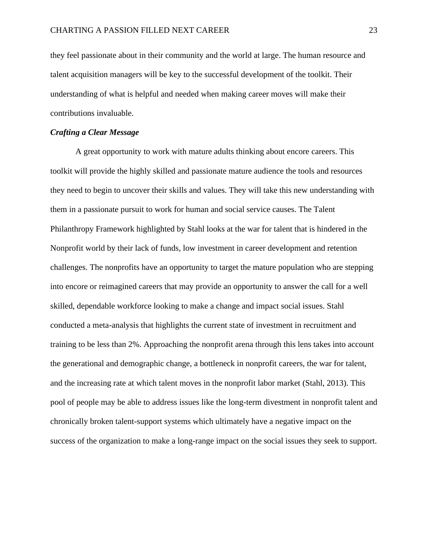they feel passionate about in their community and the world at large. The human resource and talent acquisition managers will be key to the successful development of the toolkit. Their understanding of what is helpful and needed when making career moves will make their contributions invaluable.

## <span id="page-23-0"></span>*Crafting a Clear Message*

A great opportunity to work with mature adults thinking about encore careers. This toolkit will provide the highly skilled and passionate mature audience the tools and resources they need to begin to uncover their skills and values. They will take this new understanding with them in a passionate pursuit to work for human and social service causes. The Talent Philanthropy Framework highlighted by Stahl looks at the war for talent that is hindered in the Nonprofit world by their lack of funds, low investment in career development and retention challenges. The nonprofits have an opportunity to target the mature population who are stepping into encore or reimagined careers that may provide an opportunity to answer the call for a well skilled, dependable workforce looking to make a change and impact social issues. Stahl conducted a meta-analysis that highlights the current state of investment in recruitment and training to be less than 2%. Approaching the nonprofit arena through this lens takes into account the generational and demographic change, a bottleneck in nonprofit careers, the war for talent, and the increasing rate at which talent moves in the nonprofit labor market (Stahl, 2013). This pool of people may be able to address issues like the long-term divestment in nonprofit talent and chronically broken talent-support systems which ultimately have a negative impact on the success of the organization to make a long-range impact on the social issues they seek to support.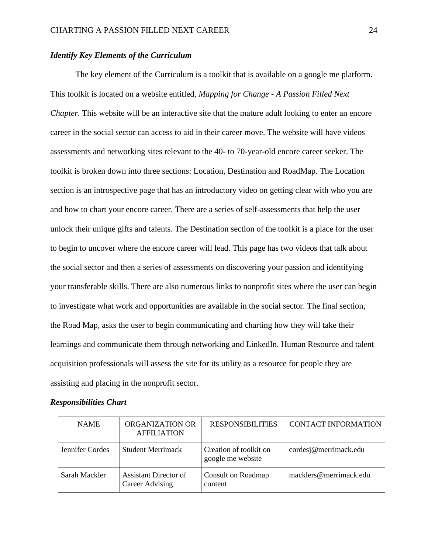## <span id="page-24-0"></span>*Identify Key Elements of the Curriculum*

The key element of the Curriculum is a toolkit that is available on a google me platform. This toolkit is located on a website entitled, *Mapping for Change - A Passion Filled Next Chapter*. This website will be an interactive site that the mature adult looking to enter an encore career in the social sector can access to aid in their career move. The website will have videos assessments and networking sites relevant to the 40- to 70-year-old encore career seeker. The toolkit is broken down into three sections: Location, Destination and RoadMap. The Location section is an introspective page that has an introductory video on getting clear with who you are and how to chart your encore career. There are a series of self-assessments that help the user unlock their unique gifts and talents. The Destination section of the toolkit is a place for the user to begin to uncover where the encore career will lead. This page has two videos that talk about the social sector and then a series of assessments on discovering your passion and identifying your transferable skills. There are also numerous links to nonprofit sites where the user can begin to investigate what work and opportunities are available in the social sector. The final section, the Road Map, asks the user to begin communicating and charting how they will take their learnings and communicate them through networking and LinkedIn. Human Resource and talent acquisition professionals will assess the site for its utility as a resource for people they are assisting and placing in the nonprofit sector.

#### <span id="page-24-1"></span>*Responsibilities Chart*

| <b>NAME</b>     | ORGANIZATION OR<br><b>AFFILIATION</b>           | <b>RESPONSIBILITIES</b>                     | <b>CONTACT INFORMATION</b> |
|-----------------|-------------------------------------------------|---------------------------------------------|----------------------------|
| Jennifer Cordes | <b>Student Merrimack</b>                        | Creation of toolkit on<br>google me website | cordesj@merrimack.edu      |
| Sarah Mackler   | <b>Assistant Director of</b><br>Career Advising | Consult on Roadmap<br>content               | macklers@merrimack.edu     |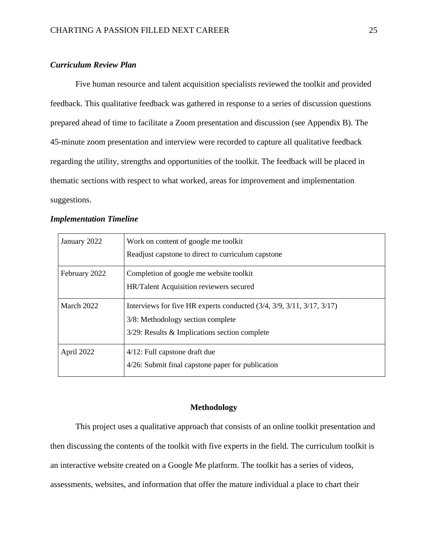## <span id="page-25-0"></span>*Curriculum Review Plan*

Five human resource and talent acquisition specialists reviewed the toolkit and provided feedback. This qualitative feedback was gathered in response to a series of discussion questions prepared ahead of time to facilitate a Zoom presentation and discussion (see Appendix B). The 45-minute zoom presentation and interview were recorded to capture all qualitative feedback regarding the utility, strengths and opportunities of the toolkit. The feedback will be placed in thematic sections with respect to what worked, areas for improvement and implementation suggestions.

## <span id="page-25-1"></span>*Implementation Timeline*

| January 2022  | Work on content of google me toolkit                                    |  |
|---------------|-------------------------------------------------------------------------|--|
|               | Readjust capstone to direct to curriculum capstone                      |  |
| February 2022 | Completion of google me website toolkit                                 |  |
|               | HR/Talent Acquisition reviewers secured                                 |  |
| March 2022    | Interviews for five HR experts conducted $(3/4, 3/9, 3/11, 3/17, 3/17)$ |  |
|               | 3/8: Methodology section complete                                       |  |
|               | $3/29$ : Results & Implications section complete                        |  |
| April 2022    | 4/12: Full capstone draft due                                           |  |
|               | 4/26: Submit final capstone paper for publication                       |  |

## **Methodology**

<span id="page-25-2"></span>This project uses a qualitative approach that consists of an online toolkit presentation and then discussing the contents of the toolkit with five experts in the field. The curriculum toolkit is an interactive website created on a Google Me platform. The toolkit has a series of videos, assessments, websites, and information that offer the mature individual a place to chart their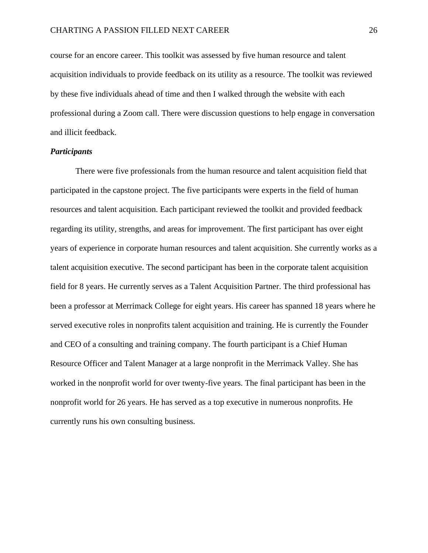course for an encore career. This toolkit was assessed by five human resource and talent acquisition individuals to provide feedback on its utility as a resource. The toolkit was reviewed by these five individuals ahead of time and then I walked through the website with each professional during a Zoom call. There were discussion questions to help engage in conversation and illicit feedback.

### <span id="page-26-0"></span>*Participants*

There were five professionals from the human resource and talent acquisition field that participated in the capstone project. The five participants were experts in the field of human resources and talent acquisition. Each participant reviewed the toolkit and provided feedback regarding its utility, strengths, and areas for improvement. The first participant has over eight years of experience in corporate human resources and talent acquisition. She currently works as a talent acquisition executive. The second participant has been in the corporate talent acquisition field for 8 years. He currently serves as a Talent Acquisition Partner. The third professional has been a professor at Merrimack College for eight years. His career has spanned 18 years where he served executive roles in nonprofits talent acquisition and training. He is currently the Founder and CEO of a consulting and training company. The fourth participant is a Chief Human Resource Officer and Talent Manager at a large nonprofit in the Merrimack Valley. She has worked in the nonprofit world for over twenty-five years. The final participant has been in the nonprofit world for 26 years. He has served as a top executive in numerous nonprofits. He currently runs his own consulting business.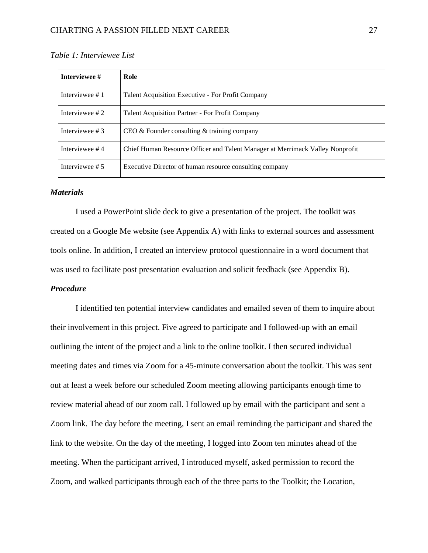| Interviewee #    | Role                                                                          |
|------------------|-------------------------------------------------------------------------------|
| Interviewee #1   | Talent Acquisition Executive - For Profit Company                             |
| Interviewee #2   | Talent Acquisition Partner - For Profit Company                               |
| Interviewee $#3$ | $CEO &$ Founder consulting $\&$ training company                              |
| Interviewee #4   | Chief Human Resource Officer and Talent Manager at Merrimack Valley Nonprofit |
| Interviewee #5   | Executive Director of human resource consulting company                       |

*Table 1: Interviewee List*

## <span id="page-27-0"></span>*Materials*

I used a PowerPoint slide deck to give a presentation of the project. The toolkit was created on a Google Me website (see Appendix A) with links to external sources and assessment tools online. In addition, I created an interview protocol questionnaire in a word document that was used to facilitate post presentation evaluation and solicit feedback (see Appendix B).

## <span id="page-27-1"></span>*Procedure*

I identified ten potential interview candidates and emailed seven of them to inquire about their involvement in this project. Five agreed to participate and I followed-up with an email outlining the intent of the project and a link to the online toolkit. I then secured individual meeting dates and times via Zoom for a 45-minute conversation about the toolkit. This was sent out at least a week before our scheduled Zoom meeting allowing participants enough time to review material ahead of our zoom call. I followed up by email with the participant and sent a Zoom link. The day before the meeting, I sent an email reminding the participant and shared the link to the website. On the day of the meeting, I logged into Zoom ten minutes ahead of the meeting. When the participant arrived, I introduced myself, asked permission to record the Zoom, and walked participants through each of the three parts to the Toolkit; the Location,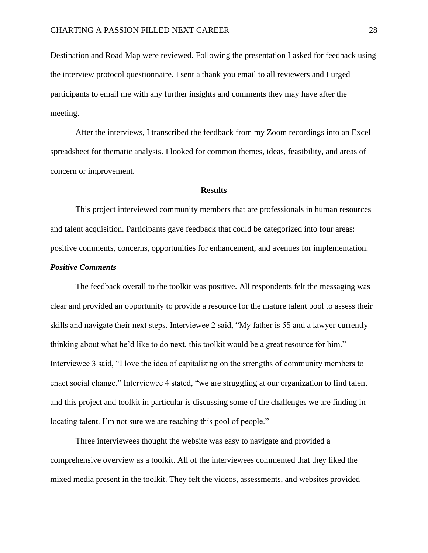Destination and Road Map were reviewed. Following the presentation I asked for feedback using the interview protocol questionnaire. I sent a thank you email to all reviewers and I urged participants to email me with any further insights and comments they may have after the meeting.

After the interviews, I transcribed the feedback from my Zoom recordings into an Excel spreadsheet for thematic analysis. I looked for common themes, ideas, feasibility, and areas of concern or improvement.

#### **Results**

<span id="page-28-0"></span>This project interviewed community members that are professionals in human resources and talent acquisition. Participants gave feedback that could be categorized into four areas: positive comments, concerns, opportunities for enhancement, and avenues for implementation.

## *Positive Comments*

The feedback overall to the toolkit was positive. All respondents felt the messaging was clear and provided an opportunity to provide a resource for the mature talent pool to assess their skills and navigate their next steps. Interviewee 2 said, "My father is 55 and a lawyer currently thinking about what he'd like to do next, this toolkit would be a great resource for him." Interviewee 3 said, "I love the idea of capitalizing on the strengths of community members to enact social change." Interviewee 4 stated, "we are struggling at our organization to find talent and this project and toolkit in particular is discussing some of the challenges we are finding in locating talent. I'm not sure we are reaching this pool of people."

Three interviewees thought the website was easy to navigate and provided a comprehensive overview as a toolkit. All of the interviewees commented that they liked the mixed media present in the toolkit. They felt the videos, assessments, and websites provided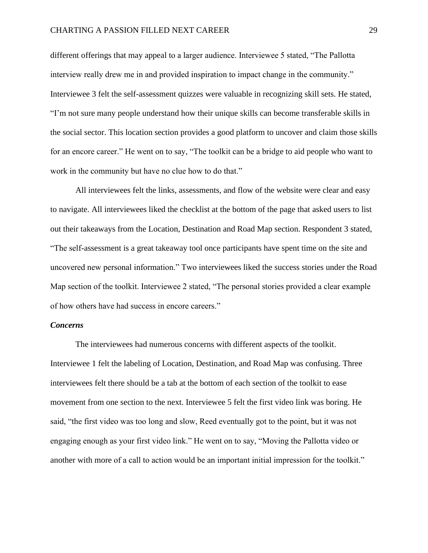### CHARTING A PASSION FILLED NEXT CAREER 29

different offerings that may appeal to a larger audience. Interviewee 5 stated, "The Pallotta interview really drew me in and provided inspiration to impact change in the community." Interviewee 3 felt the self-assessment quizzes were valuable in recognizing skill sets. He stated, "I'm not sure many people understand how their unique skills can become transferable skills in the social sector. This location section provides a good platform to uncover and claim those skills for an encore career." He went on to say, "The toolkit can be a bridge to aid people who want to work in the community but have no clue how to do that."

All interviewees felt the links, assessments, and flow of the website were clear and easy to navigate. All interviewees liked the checklist at the bottom of the page that asked users to list out their takeaways from the Location, Destination and Road Map section. Respondent 3 stated, "The self-assessment is a great takeaway tool once participants have spent time on the site and uncovered new personal information." Two interviewees liked the success stories under the Road Map section of the toolkit. Interviewee 2 stated, "The personal stories provided a clear example of how others have had success in encore careers."

#### *Concerns*

The interviewees had numerous concerns with different aspects of the toolkit. Interviewee 1 felt the labeling of Location, Destination, and Road Map was confusing. Three interviewees felt there should be a tab at the bottom of each section of the toolkit to ease movement from one section to the next. Interviewee 5 felt the first video link was boring. He said, "the first video was too long and slow, Reed eventually got to the point, but it was not engaging enough as your first video link." He went on to say, "Moving the Pallotta video or another with more of a call to action would be an important initial impression for the toolkit."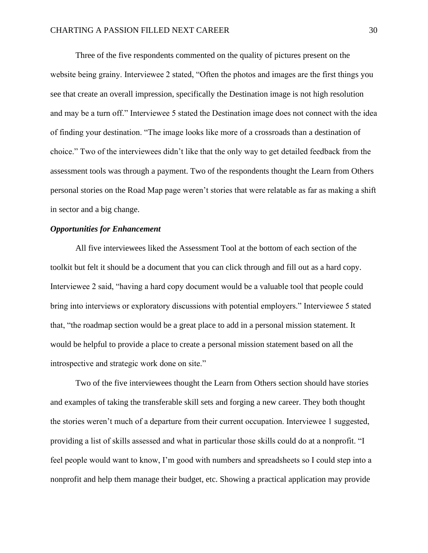Three of the five respondents commented on the quality of pictures present on the website being grainy. Interviewee 2 stated, "Often the photos and images are the first things you see that create an overall impression, specifically the Destination image is not high resolution and may be a turn off." Interviewee 5 stated the Destination image does not connect with the idea of finding your destination. "The image looks like more of a crossroads than a destination of choice." Two of the interviewees didn't like that the only way to get detailed feedback from the assessment tools was through a payment. Two of the respondents thought the Learn from Others personal stories on the Road Map page weren't stories that were relatable as far as making a shift in sector and a big change.

## *Opportunities for Enhancement*

All five interviewees liked the Assessment Tool at the bottom of each section of the toolkit but felt it should be a document that you can click through and fill out as a hard copy. Interviewee 2 said, "having a hard copy document would be a valuable tool that people could bring into interviews or exploratory discussions with potential employers." Interviewee 5 stated that, "the roadmap section would be a great place to add in a personal mission statement. It would be helpful to provide a place to create a personal mission statement based on all the introspective and strategic work done on site."

Two of the five interviewees thought the Learn from Others section should have stories and examples of taking the transferable skill sets and forging a new career. They both thought the stories weren't much of a departure from their current occupation. Interviewee 1 suggested, providing a list of skills assessed and what in particular those skills could do at a nonprofit. "I feel people would want to know, I'm good with numbers and spreadsheets so I could step into a nonprofit and help them manage their budget, etc. Showing a practical application may provide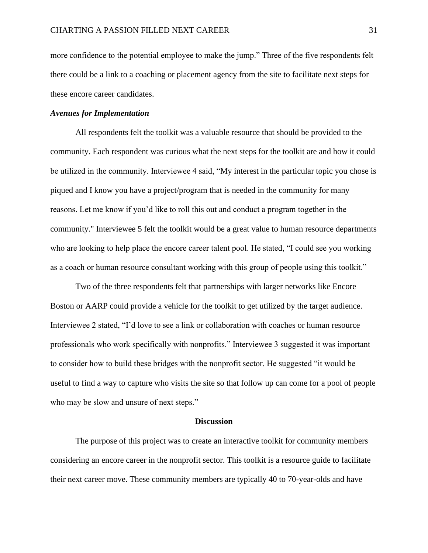more confidence to the potential employee to make the jump." Three of the five respondents felt there could be a link to a coaching or placement agency from the site to facilitate next steps for these encore career candidates.

#### *Avenues for Implementation*

All respondents felt the toolkit was a valuable resource that should be provided to the community. Each respondent was curious what the next steps for the toolkit are and how it could be utilized in the community. Interviewee 4 said, "My interest in the particular topic you chose is piqued and I know you have a project/program that is needed in the community for many reasons. Let me know if you'd like to roll this out and conduct a program together in the community." Interviewee 5 felt the toolkit would be a great value to human resource departments who are looking to help place the encore career talent pool. He stated, "I could see you working as a coach or human resource consultant working with this group of people using this toolkit."

Two of the three respondents felt that partnerships with larger networks like Encore Boston or AARP could provide a vehicle for the toolkit to get utilized by the target audience. Interviewee 2 stated, "I'd love to see a link or collaboration with coaches or human resource professionals who work specifically with nonprofits." Interviewee 3 suggested it was important to consider how to build these bridges with the nonprofit sector. He suggested "it would be useful to find a way to capture who visits the site so that follow up can come for a pool of people who may be slow and unsure of next steps."

#### **Discussion**

<span id="page-31-0"></span>The purpose of this project was to create an interactive toolkit for community members considering an encore career in the nonprofit sector. This toolkit is a resource guide to facilitate their next career move. These community members are typically 40 to 70-year-olds and have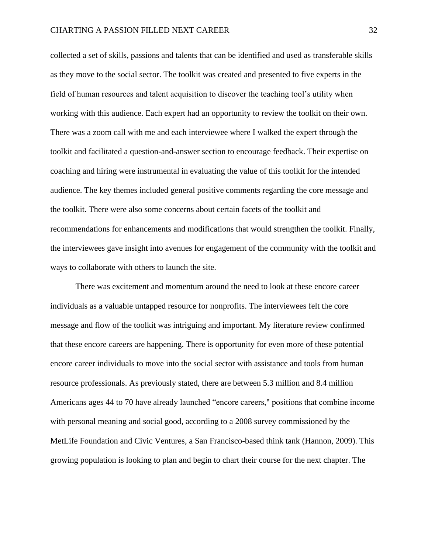collected a set of skills, passions and talents that can be identified and used as transferable skills as they move to the social sector. The toolkit was created and presented to five experts in the field of human resources and talent acquisition to discover the teaching tool's utility when working with this audience. Each expert had an opportunity to review the toolkit on their own. There was a zoom call with me and each interviewee where I walked the expert through the toolkit and facilitated a question-and-answer section to encourage feedback. Their expertise on coaching and hiring were instrumental in evaluating the value of this toolkit for the intended audience. The key themes included general positive comments regarding the core message and the toolkit. There were also some concerns about certain facets of the toolkit and recommendations for enhancements and modifications that would strengthen the toolkit. Finally, the interviewees gave insight into avenues for engagement of the community with the toolkit and ways to collaborate with others to launch the site.

There was excitement and momentum around the need to look at these encore career individuals as a valuable untapped resource for nonprofits. The interviewees felt the core message and flow of the toolkit was intriguing and important. My literature review confirmed that these encore careers are happening. There is opportunity for even more of these potential encore career individuals to move into the social sector with assistance and tools from human resource professionals. As previously stated, there are between 5.3 million and 8.4 million Americans ages 44 to 70 have already launched "encore careers," positions that combine income with personal meaning and social good, according to a 2008 survey commissioned by the MetLife Foundation and Civic Ventures, a San Francisco-based think tank (Hannon, 2009). This growing population is looking to plan and begin to chart their course for the next chapter. The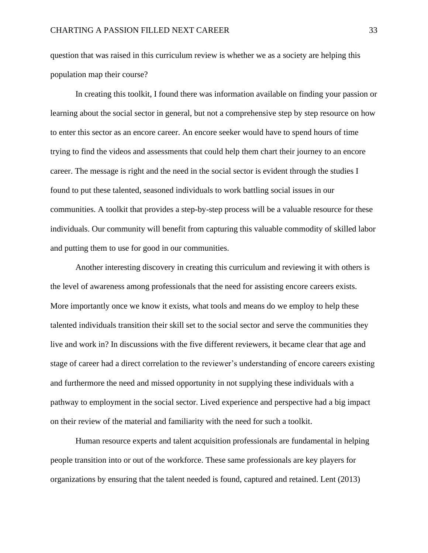question that was raised in this curriculum review is whether we as a society are helping this population map their course?

In creating this toolkit, I found there was information available on finding your passion or learning about the social sector in general, but not a comprehensive step by step resource on how to enter this sector as an encore career. An encore seeker would have to spend hours of time trying to find the videos and assessments that could help them chart their journey to an encore career. The message is right and the need in the social sector is evident through the studies I found to put these talented, seasoned individuals to work battling social issues in our communities. A toolkit that provides a step-by-step process will be a valuable resource for these individuals. Our community will benefit from capturing this valuable commodity of skilled labor and putting them to use for good in our communities.

Another interesting discovery in creating this curriculum and reviewing it with others is the level of awareness among professionals that the need for assisting encore careers exists. More importantly once we know it exists, what tools and means do we employ to help these talented individuals transition their skill set to the social sector and serve the communities they live and work in? In discussions with the five different reviewers, it became clear that age and stage of career had a direct correlation to the reviewer's understanding of encore careers existing and furthermore the need and missed opportunity in not supplying these individuals with a pathway to employment in the social sector. Lived experience and perspective had a big impact on their review of the material and familiarity with the need for such a toolkit.

Human resource experts and talent acquisition professionals are fundamental in helping people transition into or out of the workforce. These same professionals are key players for organizations by ensuring that the talent needed is found, captured and retained. Lent (2013)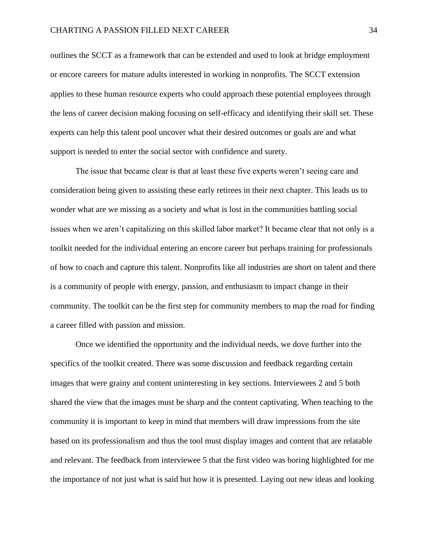outlines the SCCT as a framework that can be extended and used to look at bridge employment or encore careers for mature adults interested in working in nonprofits. The SCCT extension applies to these human resource experts who could approach these potential employees through the lens of career decision making focusing on self-efficacy and identifying their skill set. These experts can help this talent pool uncover what their desired outcomes or goals are and what support is needed to enter the social sector with confidence and surety.

The issue that became clear is that at least these five experts weren't seeing care and consideration being given to assisting these early retirees in their next chapter. This leads us to wonder what are we missing as a society and what is lost in the communities battling social issues when we aren't capitalizing on this skilled labor market? It became clear that not only is a toolkit needed for the individual entering an encore career but perhaps training for professionals of how to coach and capture this talent. Nonprofits like all industries are short on talent and there is a community of people with energy, passion, and enthusiasm to impact change in their community. The toolkit can be the first step for community members to map the road for finding a career filled with passion and mission.

Once we identified the opportunity and the individual needs, we dove further into the specifics of the toolkit created. There was some discussion and feedback regarding certain images that were grainy and content uninteresting in key sections. Interviewees 2 and 5 both shared the view that the images must be sharp and the content captivating. When teaching to the community it is important to keep in mind that members will draw impressions from the site based on its professionalism and thus the tool must display images and content that are relatable and relevant. The feedback from interviewee 5 that the first video was boring highlighted for me the importance of not just what is said but how it is presented. Laying out new ideas and looking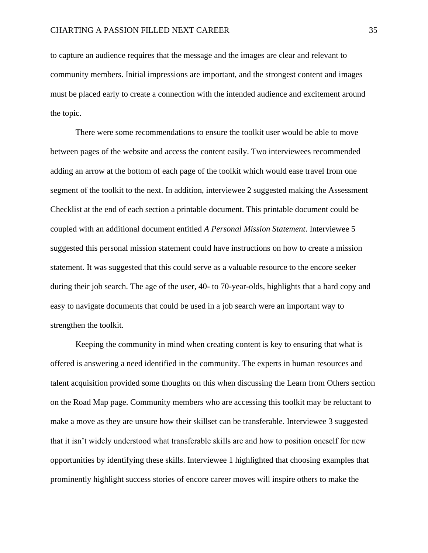to capture an audience requires that the message and the images are clear and relevant to community members. Initial impressions are important, and the strongest content and images must be placed early to create a connection with the intended audience and excitement around the topic.

There were some recommendations to ensure the toolkit user would be able to move between pages of the website and access the content easily. Two interviewees recommended adding an arrow at the bottom of each page of the toolkit which would ease travel from one segment of the toolkit to the next. In addition, interviewee 2 suggested making the Assessment Checklist at the end of each section a printable document. This printable document could be coupled with an additional document entitled *A Personal Mission Statement*. Interviewee 5 suggested this personal mission statement could have instructions on how to create a mission statement. It was suggested that this could serve as a valuable resource to the encore seeker during their job search. The age of the user, 40- to 70-year-olds, highlights that a hard copy and easy to navigate documents that could be used in a job search were an important way to strengthen the toolkit.

Keeping the community in mind when creating content is key to ensuring that what is offered is answering a need identified in the community. The experts in human resources and talent acquisition provided some thoughts on this when discussing the Learn from Others section on the Road Map page. Community members who are accessing this toolkit may be reluctant to make a move as they are unsure how their skillset can be transferable. Interviewee 3 suggested that it isn't widely understood what transferable skills are and how to position oneself for new opportunities by identifying these skills. Interviewee 1 highlighted that choosing examples that prominently highlight success stories of encore career moves will inspire others to make the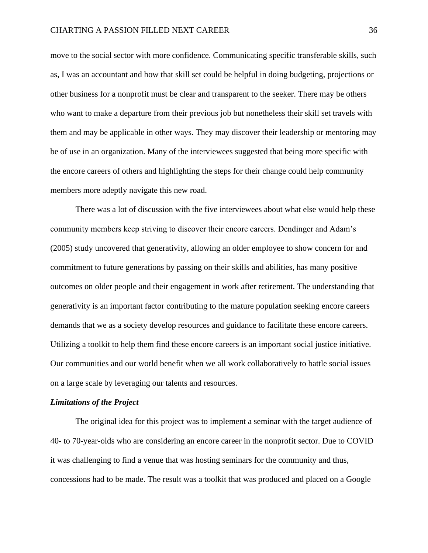move to the social sector with more confidence. Communicating specific transferable skills, such as, I was an accountant and how that skill set could be helpful in doing budgeting, projections or other business for a nonprofit must be clear and transparent to the seeker. There may be others who want to make a departure from their previous job but nonetheless their skill set travels with them and may be applicable in other ways. They may discover their leadership or mentoring may be of use in an organization. Many of the interviewees suggested that being more specific with the encore careers of others and highlighting the steps for their change could help community members more adeptly navigate this new road.

There was a lot of discussion with the five interviewees about what else would help these community members keep striving to discover their encore careers. Dendinger and Adam's (2005) study uncovered that generativity, allowing an older employee to show concern for and commitment to future generations by passing on their skills and abilities, has many positive outcomes on older people and their engagement in work after retirement. The understanding that generativity is an important factor contributing to the mature population seeking encore careers demands that we as a society develop resources and guidance to facilitate these encore careers. Utilizing a toolkit to help them find these encore careers is an important social justice initiative. Our communities and our world benefit when we all work collaboratively to battle social issues on a large scale by leveraging our talents and resources.

#### <span id="page-36-0"></span>*Limitations of the Project*

The original idea for this project was to implement a seminar with the target audience of 40- to 70-year-olds who are considering an encore career in the nonprofit sector. Due to COVID it was challenging to find a venue that was hosting seminars for the community and thus, concessions had to be made. The result was a toolkit that was produced and placed on a Google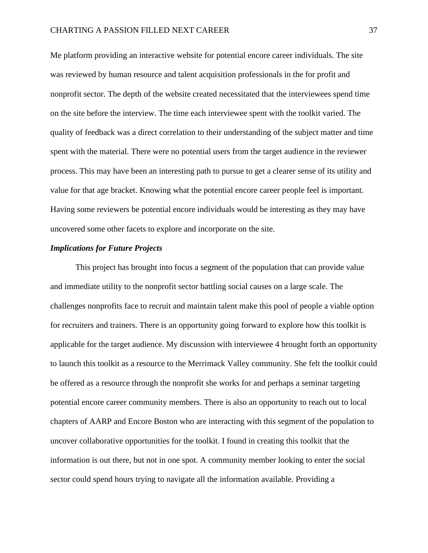Me platform providing an interactive website for potential encore career individuals. The site was reviewed by human resource and talent acquisition professionals in the for profit and nonprofit sector. The depth of the website created necessitated that the interviewees spend time on the site before the interview. The time each interviewee spent with the toolkit varied. The quality of feedback was a direct correlation to their understanding of the subject matter and time spent with the material. There were no potential users from the target audience in the reviewer process. This may have been an interesting path to pursue to get a clearer sense of its utility and value for that age bracket. Knowing what the potential encore career people feel is important. Having some reviewers be potential encore individuals would be interesting as they may have uncovered some other facets to explore and incorporate on the site.

#### <span id="page-37-0"></span>*Implications for Future Projects*

This project has brought into focus a segment of the population that can provide value and immediate utility to the nonprofit sector battling social causes on a large scale. The challenges nonprofits face to recruit and maintain talent make this pool of people a viable option for recruiters and trainers. There is an opportunity going forward to explore how this toolkit is applicable for the target audience. My discussion with interviewee 4 brought forth an opportunity to launch this toolkit as a resource to the Merrimack Valley community. She felt the toolkit could be offered as a resource through the nonprofit she works for and perhaps a seminar targeting potential encore career community members. There is also an opportunity to reach out to local chapters of AARP and Encore Boston who are interacting with this segment of the population to uncover collaborative opportunities for the toolkit. I found in creating this toolkit that the information is out there, but not in one spot. A community member looking to enter the social sector could spend hours trying to navigate all the information available. Providing a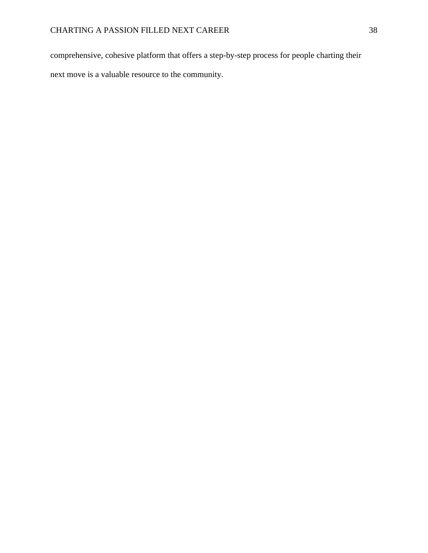comprehensive, cohesive platform that offers a step-by-step process for people charting their next move is a valuable resource to the community.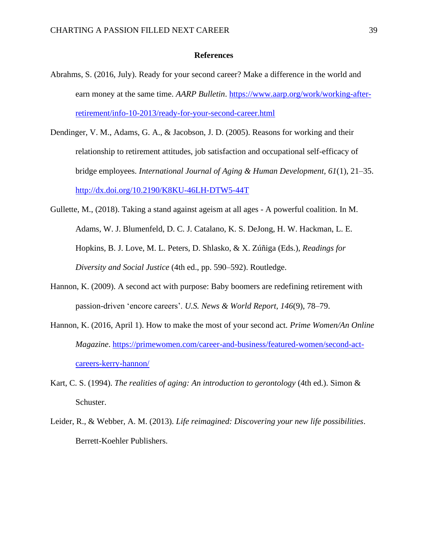#### **References**

- <span id="page-39-0"></span>Abrahms, S. (2016, July). Ready for your second career? Make a difference in the world and earn money at the same time. *AARP Bulletin*. [https://www.aarp.org/work/working-after](https://www.aarp.org/work/working-after-retirement/info-10-2013/ready-for-your-second-career.html)[retirement/info-10-2013/ready-for-your-second-career.html](https://www.aarp.org/work/working-after-retirement/info-10-2013/ready-for-your-second-career.html)
- Dendinger, V. M., Adams, G. A., & Jacobson, J. D. (2005). Reasons for working and their relationship to retirement attitudes, job satisfaction and occupational self-efficacy of bridge employees. *International Journal of Aging & Human Development, 61*(1), 21–35. <http://dx.doi.org/10.2190/K8KU-46LH-DTW5-44T>
- Gullette, M., (2018). Taking a stand against ageism at all ages A powerful coalition. In M. Adams, W. J. Blumenfeld, D. C. J. Catalano, K. S. DeJong, H. W. Hackman, L. E. Hopkins, B. J. Love, M. L. Peters, D. Shlasko, & X. Zúñiga (Eds.), *Readings for Diversity and Social Justice* (4th ed., pp. 590–592). Routledge.
- Hannon, K. (2009). A second act with purpose: Baby boomers are redefining retirement with passion-driven 'encore careers'. *U.S. News & World Report, 146*(9), 78–79.
- Hannon, K. (2016, April 1). How to make the most of your second act. *Prime Women/An Online Magazine*. [https://primewomen.com/career-and-business/featured-women/second-act](https://primewomen.com/career-and-business/featured-women/second-act-careers-kerry-hannon/)[careers-kerry-hannon/](https://primewomen.com/career-and-business/featured-women/second-act-careers-kerry-hannon/)
- Kart, C. S. (1994). *The realities of aging: An introduction to gerontology* (4th ed.). Simon & Schuster.
- Leider, R., & Webber, A. M. (2013). *Life reimagined: Discovering your new life possibilities*. Berrett-Koehler Publishers.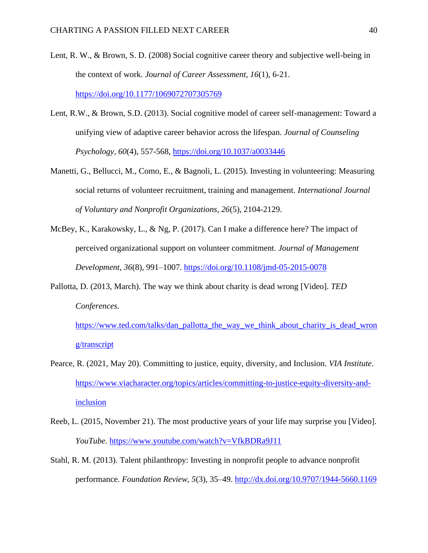- Lent, R. W., & Brown, S. D. (2008) Social cognitive career theory and subjective well-being in the context of work. *Journal of Career Assessment, 16*(1), 6-21. <https://doi.org/10.1177/1069072707305769>
- Lent, R.W., & Brown, S.D. (2013). Social cognitive model of career self-management: Toward a unifying view of adaptive career behavior across the lifespan. *Journal of Counseling Psychology, 60*(4), 557-568,<https://doi.org/10.1037/a0033446>
- Manetti, G., Bellucci, M., Como, E., & Bagnoli, L. (2015). Investing in volunteering: Measuring social returns of volunteer recruitment, training and management. *International Journal of Voluntary and Nonprofit Organizations, 26*(5), 2104-2129.
- McBey, K., Karakowsky, L., & Ng, P. (2017). Can I make a difference here? The impact of perceived organizational support on volunteer commitment. *Journal of Management Development, 36*(8), 991–1007.<https://doi.org/10.1108/jmd-05-2015-0078>
- Pallotta, D. (2013, March). The way we think about charity is dead wrong [Video]. *TED Conferences*.

[https://www.ted.com/talks/dan\\_pallotta\\_the\\_way\\_we\\_think\\_about\\_charity\\_is\\_dead\\_wron](https://www.ted.com/talks/dan_pallotta_the_way_we_think_about_charity_is_dead_wrong/transcript) [g/transcript](https://www.ted.com/talks/dan_pallotta_the_way_we_think_about_charity_is_dead_wrong/transcript)

- Pearce, R. (2021, May 20). Committing to justice, equity, diversity, and Inclusion. *VIA Institute*. [https://www.viacharacter.org/topics/articles/committing-to-justice-equity-diversity-and](https://www.viacharacter.org/topics/articles/committing-to-justice-equity-diversity-and-inclusion)[inclusion](https://www.viacharacter.org/topics/articles/committing-to-justice-equity-diversity-and-inclusion)
- Reeb, L. (2015, November 21). The most productive years of your life may surprise you [Video]. *YouTube*.<https://www.youtube.com/watch?v=VfkBDRa9J11>
- Stahl, R. M. (2013). Talent philanthropy: Investing in nonprofit people to advance nonprofit performance. *Foundation Review, 5*(3), 35–49.<http://dx.doi.org/10.9707/1944-5660.1169>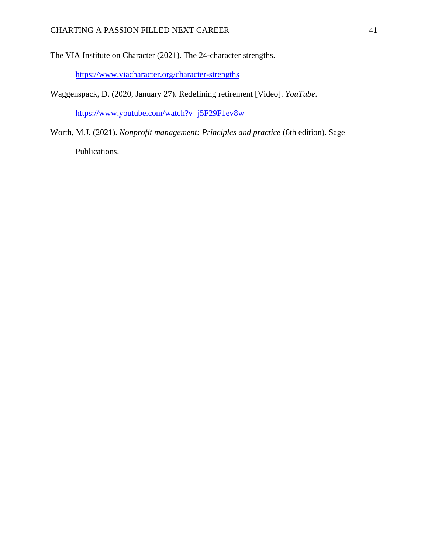The VIA Institute on Character (2021). The 24-character strengths.

<https://www.viacharacter.org/character-strengths>

Waggenspack, D. (2020, January 27). Redefining retirement [Video]. *YouTube*.

<https://www.youtube.com/watch?v=j5F29F1ev8w>

Worth, M.J. (2021). *Nonprofit management: Principles and practice* (6th edition). Sage Publications.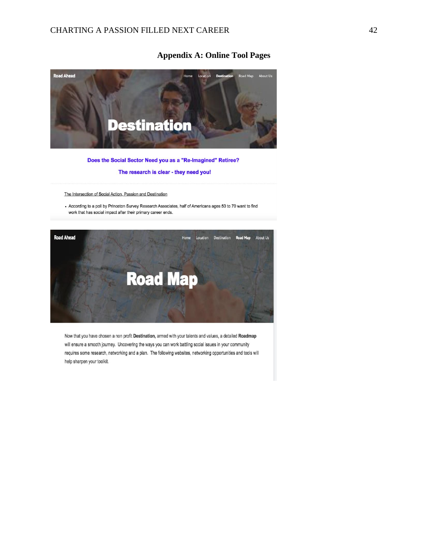## **Appendix A: Online Tool Pages**

<span id="page-42-0"></span>

#### Does the Social Sector Need you as a "Re-Imagined" Retiree?

#### The research is clear - they need you!

The Intersection of Social Action, Passion and Destination

- According to a poll by Princeton Survey Research Associates, half of Americans ages 50 to 70 want to find work that has social impact after their primary career ends.



Now that you have chosen a non profit Destination, armed with your talents and values, a detailed Roadmap will ensure a smooth journey. Uncovering the ways you can work battling social issues in your community requires some research, networking and a plan. The following websites, networking opportunities and tools will help sharpen your toolkit.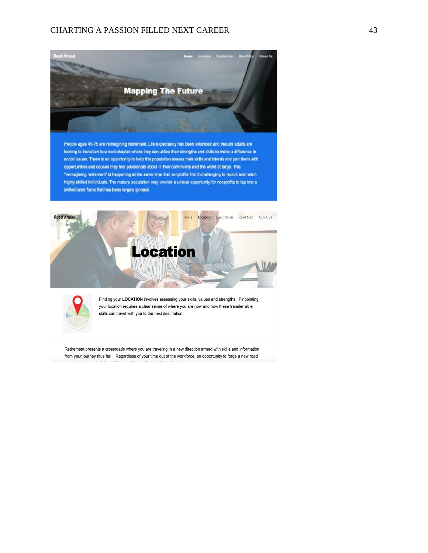## CHARTING A PASSION FILLED NEXT CAREER 43



People ages 45-75 are reimagining retirement. Life expectancy has been extended and mature adults are looking to transition to a next chapter where they can utilize their strengths and skills to make a difference in sccial issues. There is an opportunity to help this population assess their skills and talents and pair them with opportunities and causes they leel passionale about in their community and the world at large. This "reimagining retirement" is happening at the same time that nonprofits find it challenging to recruit and retain highly skilled individuals. The mature population may provide a unique opportunity for nonprofits to tap into a skilled labor force that has been largely ignored.





Finding your LOCATION involves assessing your skills, values and strengths. Pinpointing your location requires a clear sense of where you are now and how these transferrable skills can travel with you to the next destination.

Retirement presents a crossroads where you are traveling in a new direction armed with skills and information from your journey thus far. Regardless of your time out of the workforce, an opportunity to forge a new road